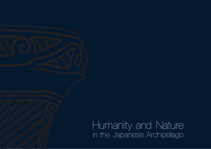Humanity and Nature<br>in the Japanese Archipelago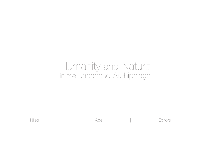## Humanity and Nature in the Japanese Archipelago

Niles | Abe | Editors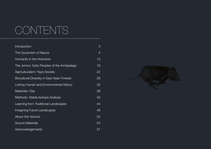## **CONTENTS**

| Introduction                                | 3  |
|---------------------------------------------|----|
| The Dynamism of Nature                      | 4  |
| Humanity in the Holocene                    | 13 |
| The Jomon: Early Peoples of the Archipelago | 16 |
| Agriculturalism: Yayoi Society              | 22 |
| Biocultural Diversity in East Asian Forests | 26 |
| Linking Human and Environmental History     | 32 |
| Materials: Clay                             | 38 |
| Methods: Stable Isotope Analysis            | 40 |
| Learning from Traditional Landscapes        | 44 |
| Imagining Future Landscapes                 | 48 |
| About this Volume                           | 52 |
| Source Materials                            | 54 |
| Acknowledgements                            | 57 |

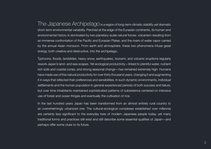The Japanese Archipelago is a region of long-term climatic stability yet dramatic short-term environmental variability. Perched at the edge of the Eurasian continents, its human and environmental history is dominated by two planetary-scale natural forces: volcanism resulting from an immense confrontation of the Pacific and Eurasian Plates, and the rivers of water vapor carried by the annual Asian monsoon. From earth and atmosphere, these two phenomena infuse great energy, both creative and destructive, into the archipelago.

Typhoons, floods, landslides, heavy snow, earthquakes, tsunami, and volcanic eruptions regularly rework Japan's land- and sea-scapes. Yet ecological productivity—linked to plentiful water, nutrient rich soils and coastal zones, and strong seasonal change—has remained extremely high. Humans have made use of this natural productivity for over thirty thousand years, changing it and augmenting it in ways that reflected their preferences and sensibilities. In such dynamic environments, individual settlements and the human population in general experienced periods of both success and failure, but over time inhabitants maintained sophisticated patterns of subsistence centered on intensive use of forest and ocean fringes and eventually the cultivation of rice.

In the last hundred years Japan has been transformed from an almost entirely rural country to an overwhelmingly urbanized one. The cultural-ecological complexes established over millennia are certainly less significant to the everyday lives of modern Japanese people today, yet many traditional forms and practices still exist and still describe some essential qualities of Japan—and perhaps offer some clues to its future.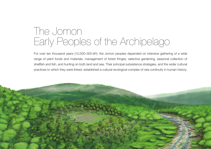## The Jomon Early Peoples of the Archipelago

For over ten thousand years (12,000–300 BP), the Jomon peoples depended on intensive gathering of a wide range of plant foods and materials, management of forest fringes, selective gardening, seasonal collection of shellfish and fish, and hunting on both land and sea. Their principal subsistence strategies, and the wider cultural practices to which they were linked, established a cultural-ecological complex of rare continuity in human history.

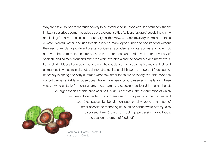Why did it take so long for agrarian society to be established in East Asia? One prominent theory in Japan describes Jomon peoples as prosperous, settled 'affluent foragers' subsisting on the archipelago's native ecological productivity. In this view, Japan's relatively warm and stable climate, plentiful water, and rich forests provided many opportunities to secure food without the need for regular agriculture. Forests provided an abundance of nuts, acorns, and other fruit and were home to many animals such as wild boar, deer, and birds, while a great variety of shellfish, and salmon, trout and other fish were available along the coastlines and many rivers. Large shell middens have been found along the coasts, some measuring five meters thick and as many as fifty meters in diameter, demonstrating that shellfish were an important food source, especially in spring and early summer, when few other foods are so readily available. Wooden dugout canoes suitable for open ocean travel have been found preserved in wetlands. These vessels were suitable for hunting larger sea mammals, especially as found in the northeast, or larger species of fish, such as tuna (*Thunnus orientalis*), the consumption of which has been documented through analysis of isotopes in human bones and teeth (see pages 40–43). Jomon peoples developed a number of other associated technologies, such as earthenware pottery (also discussed below) used for cooking, processing plant foods, and seasonal storage of foodstuff.



Tochinoki | Horse Chestnut *Aesculus turbinata*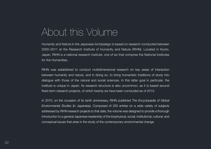## About this Volume

*Humanity and Nature in the Japanese Archipelago* is based on research conducted between 2000–2011 at the Research Institute of Humanity and Nature (RIHN). Located in Kyoto, Japan, RIHN is a national research institute, one of six that comprise the National Institutes for the Humanities.

RIHN was established to conduct multidimensional research on key areas of interaction between humanity and nature, and in doing so, to bring humanistic traditions of study into dialogue with those of the natural and social sciences. In this latter goal in particular, the institute is unique in Japan. Its research structure is also uncommon, as it is based around fixed-term research projects, of which twenty-six have been concluded as of 2015.

In 2010, on the occasion of its tenth anniversary, RIHN published *The Encyclopedia of Global Environmental Studies* (in Japanese). Composed of 250 entries on a wide variety of subjects addressed by RIHN research projects to that date, the volume was designed to provide a thorough introduction to a general Japanese readership of the biophysical, social, institutional, cultural, and conceptual issues that arise in the study of the contemporary environmental change.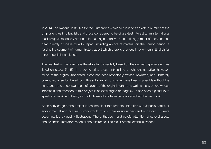In 2014 The National Institutes for the Humanities provided funds to translate a number of the original entries into English, and those considered to be of greatest interest to an international readership were loosely arranged into a single narrative. Unsurprisingly, most of those entries dealt directly or indirectly with Japan, including a core of material on the Jomon period, a fascinating segment of human history about which there is precious little written in English for a non-specialist audience.

The final text of this volume is therefore fundamentally based on the original Japanese entries listed on pages 54–55. In order to bring these entries into a coherent narrative, however, much of the original (translated) prose has been repeatedly revised, rewritten, and ultimately composed anew by the editors. This substantial work would have been impossible without the assistance and encouragement of several of the original authors as well as many others whose interest in and attention to this project is acknowledged on page 57. It has been a pleasure to speak and work with them, each of whose efforts have certainly enriched the final work.

At an early stage of the project it became clear that readers unfamiliar with Japan's particular environmental and cultural history would much more easily understand our story if it were accompanied by quality illustrations. The enthusiasm and careful attention of several artists and scientific illustrators made all the difference. The result of their efforts is evident.